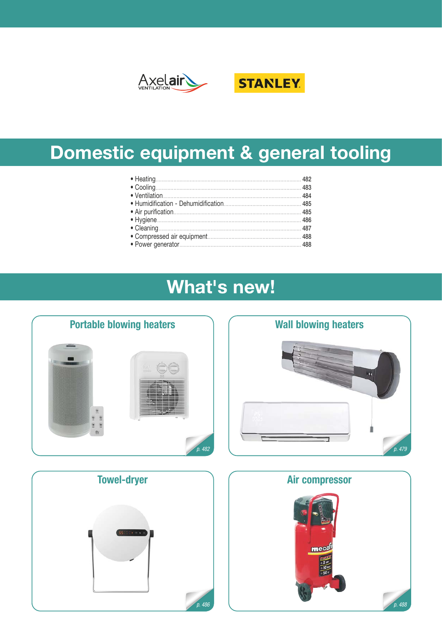



# Domestic equipment & general tooling

# **What's new!**







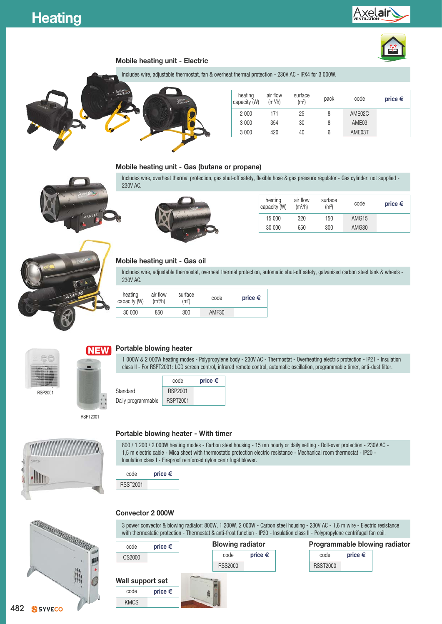# Axel**ai**





Includes wire, adjustable thermostat, fan & overheat thermal protection - 230V AC - IPX4 for 3 000W.



| heating<br>capacity (W) | air flow<br>(m <sup>3</sup> /h) | surface<br>(m <sup>2</sup> ) | pack | code              | price $\epsilon$ |
|-------------------------|---------------------------------|------------------------------|------|-------------------|------------------|
| 2 0 0 0                 | 171                             | 25                           |      | AME02C            |                  |
| 3 0 0 0                 | 354                             | 30                           | 8    | AME <sub>03</sub> |                  |
| 3 0 0 0                 | 420                             | 40                           | 6    | AME03T            |                  |

### **Mobile heating unit - Gas (butane or propane)**



Includes wire, overheat thermal protection, gas shut-off safety, flexible hose & gas pressure regulator - Gas cylinder: not supplied - 230V AC.



| heating<br>capacity (W) | air flow<br>(m <sup>3</sup> /h) | surface<br>(m <sup>2</sup> ) | code              | price $\epsilon$ |
|-------------------------|---------------------------------|------------------------------|-------------------|------------------|
| 15 000                  | 320                             | 150                          | AMG <sub>15</sub> |                  |
| 30 000                  | 650                             | 300                          | AMG30             |                  |



#### **Mobile heating unit - Gas oil**

Includes wire, adjustable thermostat, overheat thermal protection, automatic shut-off safety, galvanised carbon steel tank & wheels - 230V AC.

| heating<br>capacity (W) | air flow<br>(m <sup>3</sup> /h) | surface<br>(m <sup>2</sup> ) | code  | price $\epsilon$ |
|-------------------------|---------------------------------|------------------------------|-------|------------------|
| 30 000                  | 850                             | 300                          | AMF30 |                  |



RSP2001



RSPT2001

### **NEW Portable blowing heater**

1 000W & 2 000W heating modes - Polypropylene body - 230V AC - Thermostat - Overheating electric protection - IP21 - Insulation class II - For RSPT2001: LCD screen control, infrared remote control, automatic oscillation, programmable timer, anti-dust filter.

|                    | code            | price $\epsilon$ |
|--------------------|-----------------|------------------|
| Standard           | <b>RSP2001</b>  |                  |
| Daily programmable | <b>RSPT2001</b> |                  |



#### **Portable blowing heater - With timer**

800 / 1 200 / 2 000W heating modes - Carbon steel housing - 15 mn hourly or daily setting - Roll-over protection - 230V AC - 1,5 m electric cable - Mica sheet with thermostatic protection electric resistance - Mechanical room thermostat - IP20 - Insulation class I - Fireproof reinforced nylon centrifugal blower.



#### **Convector 2 000W**

KMCS



3 power convector & blowing radiator: 800W, 1 200W, 2 000W - Carbon steel housing - 230V AC - 1,6 m wire - Electric resistance with thermostatic protection - Thermostat & anti-frost function - IP20 - Insulation class II - Polypropylene centrifugal fan coil.

| code             | price $\epsilon$ |                | <b>Blowing radiator</b> |                 |                  | Programmable blowing radiator |
|------------------|------------------|----------------|-------------------------|-----------------|------------------|-------------------------------|
| CS2000           |                  | code           | price $\epsilon$        | code            | price $\epsilon$ |                               |
|                  |                  | <b>RSS2000</b> |                         | <b>RSST2000</b> |                  |                               |
| Wall support set |                  |                |                         |                 |                  |                               |
| code             | price $\epsilon$ |                |                         |                 |                  |                               |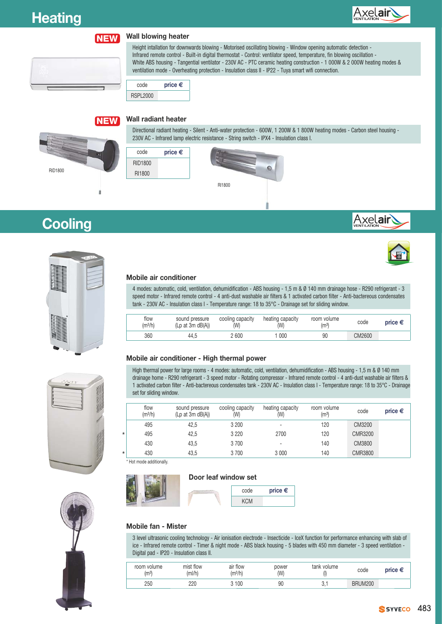

#### **Wall blowing heater NEW**

Height intallation for downwards blowing - Motorised oscillating blowing - Window opening automatic detection - Infrared remote control - Built-in digital thermostat - Control: ventilator speed, temperature, fin blowing oscillation - White ABS housing - Tangential ventilator - 230V AC - PTC ceramic heating construction - 1 000W & 2 000W heating modes & ventilation mode - Overheating protection - Insulation class II - IP22 - Tuya smart wifi connection.

code **price €** RSPL2000

#### **Wall radiant heater NEW**



**Cooling**

Directional radiant heating - Silent - Anti-water protection - 600W, 1 200W & 1 800W heating modes - Carbon steel housing - 230V AC - Infrared lamp electric resistance - String switch - IPX4 - Insulation class I.









#### **Mobile air conditioner**

4 modes: automatic, cold, ventilation, dehumidification - ABS housing - 1,5 m & Ø 140 mm drainage hose - R290 refrigerant - 3 speed motor - Infrared remote control - 4 anti-dust washable air filters & 1 activated carbon filter - Anti-bactereous condensates tank - 230V AC - Insulation class I - Temperature range: 18 to 35°C - Drainage set for sliding window.

| flow<br>(m <sup>3</sup> /h) | sound pressure<br>(Lp at 3m dB(A)) | cooling capacity<br>(W) | heating capacity<br>(W) | room volume<br>(m <sup>3</sup> ) | code   | price $\in$ |
|-----------------------------|------------------------------------|-------------------------|-------------------------|----------------------------------|--------|-------------|
| 360                         | 44.5                               | 2 600                   | 000                     | 90                               | CM2600 |             |

#### **Mobile air conditioner - High thermal power**

High thermal power for large rooms - 4 modes: automatic, cold, ventilation, dehumidification - ABS housing - 1,5 m & Ø 140 mm drainage home - R290 refrigerant - 3 speed motor - Rotating compressor - Infrared remote control - 4 anti-dust washable air filters & 1 activated carbon filter - Anti-bactereous condensates tank - 230V AC - Insulation class I - Temperature range: 18 to 35°C - Drainage set for sliding window.

|         | flow<br>(m <sup>3</sup> /h) | sound pressure<br>$(Lp$ at 3m $dB(A)$ ) | cooling capacity<br>(W) | heating capacity<br>(W)  | room volume<br>(m <sup>3</sup> ) | code           | price $\epsilon$ |
|---------|-----------------------------|-----------------------------------------|-------------------------|--------------------------|----------------------------------|----------------|------------------|
|         | 495                         | 42,5                                    | 3 200                   | $\overline{\phantom{0}}$ | 120                              | CM3200         |                  |
| $\star$ | 495                         | 42,5                                    | 3 2 2 0                 | 2700                     | 120                              | <b>CMR3200</b> |                  |
|         | 430                         | 43,5                                    | 3700                    | $\overline{\phantom{0}}$ | 140                              | CM3800         |                  |
| $\star$ | 430                         | 43,5                                    | 3700                    | 3 0 0 0                  | 140                              | <b>CMR3800</b> |                  |

Hot mode additionally.





#### **Mobile fan - Mister**

3 level ultrasonic cooling technology - Air ionisation electrode - Insecticide - IceX function for performance enhancing with slab of ice - Infrared remote control - Timer & night mode - ABS black housing - 5 blades with 450 mm diameter - 3 speed ventilation - Digital pad - IP20 - Insulation class II.

| room volume<br>(m <sup>3</sup> ) | mist flow<br>(ml/h) | air flow<br>(m3/h) | power<br>(W | tank volume | code           |  |
|----------------------------------|---------------------|--------------------|-------------|-------------|----------------|--|
| 250                              | 220                 | 100                | 90          | v.          | <b>BRUM200</b> |  |



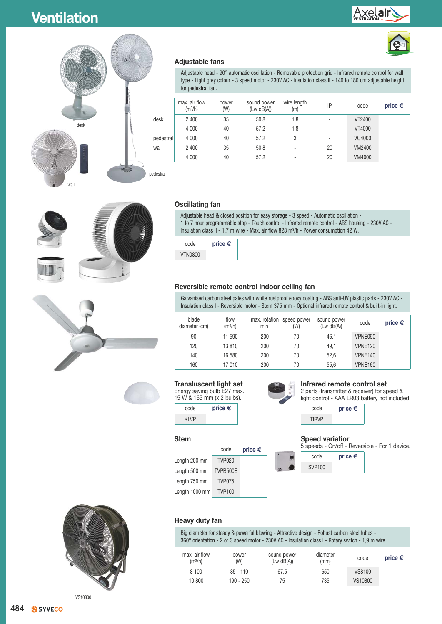





#### **Adjustable fans**

Adjustable head - 90° automatic oscillation - Removable protection grid - Infrared remote control for wall type - Light grey colour - 3 speed motor - 230V AC - Insulation class II - 140 to 180 cm adjustable height for pedestral fan.

|           | max, air flow<br>(m <sup>3</sup> /h) | power<br>(W) | sound power<br>(Lw dB(A)) | wire length<br>(m)       | IP | code   | price $\epsilon$ |
|-----------|--------------------------------------|--------------|---------------------------|--------------------------|----|--------|------------------|
| desk      | 2 4 0 0                              | 35           | 50,8                      | 1,8                      |    | VT2400 |                  |
|           | 4 0 0 0                              | 40           | 57,2                      | 1,8                      |    | VT4000 |                  |
| pedestral | 4 0 0 0                              | 40           | 57,2                      | 3                        |    | VC4000 |                  |
| wall      | 2 4 0 0                              | 35           | 50,8                      |                          | 20 | VM2400 |                  |
|           | 4 0 0 0                              | 40           | 57,2                      | $\overline{\phantom{0}}$ | 20 | VM4000 |                  |
|           |                                      |              |                           |                          |    |        |                  |





#### **Oscillating fan**

Adjustable head & closed position for easy storage - 3 speed - Automatic oscillation - 1 to 7 hour programmable stop - Touch control - Infrared remote control - ABS housing - 230V AC - Insulation class II - 1,7 m wire - Max. air flow 828 m<sup>3</sup>/h - Power consumption 42 W.



#### **Reversible remote control indoor ceiling fan**

Galvanised carbon steel pales with white rustproof epoxy coating - ABS anti-UV plastic parts - 230V AC - Insulation class I - Reversible motor - Stem 375 mm - Optional infrared remote control & built-in light.

| blade<br>diameter (cm) | flow<br>(m <sup>3</sup> /h) | $min-1$ | max. rotation speed power<br>(W) | sound power<br>(Lw dB(A)) | code           | price $\epsilon$ |
|------------------------|-----------------------------|---------|----------------------------------|---------------------------|----------------|------------------|
| 90                     | 11 590                      | 200     | 70                               | 46.1                      | VPNE090        |                  |
| 120                    | 13810                       | 200     | 70                               | 49.1                      | VPNE120        |                  |
| 140                    | 16 580                      | 200     | 70                               | 52.6                      | VPNE140        |                  |
| 160                    | 17010                       | 200     | 70                               | 55.6                      | <b>VPNE160</b> |                  |

#### **Transluscent light set**

Energy saving bulb E27 max. 15 W & 165 mm (x 2 bulbs). code **price €**

Length 200 mm | TVP020 Length 500 mm | TVPB500E Length 750 mm TVP075 Length 1000 mm TVP100

**Stem**

KI VP

max. air flow  $(m<sup>3</sup>/h)$ 

**Heavy duty fan**

power (W)

code **price €**



sound power  $(Lw dB(A))$ 

Big diameter for steady & powerful blowing - Attractive design - Robust carbon steel tubes - 360° orientation - 2 or 3 speed motor - 230V AC - Insulation class I - Rotary switch - 1,9 m wire.

8 100 85 - 110 67,5 650 VS8100 10 800 190 - 250 75 735 VS10800

#### **Infrared remote control set**

2 parts (transmitter & receiver) for speed & light control - AAA LR03 battery not included.



#### **Speed variatior**

5 speeds - On/off - Reversible - For 1 device.

(mm) code **price €**



diameter<br>(mm)

VS10800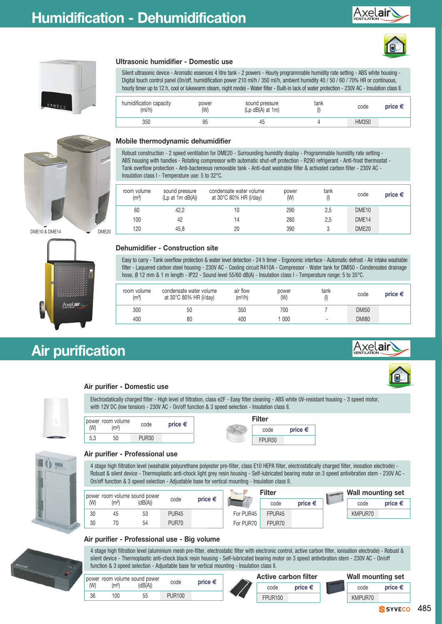







DME10 & DME14 DME20



## **Air purification**

### **Ultrasonic humidifier - Domestic use**

Silent ultrasonic device - Aromatic essences 4 litre tank - 2 powers - Hourly programmable humidity rate setting - ABS white housing - Digital touch control panel (On/off, humidification power 210 ml/h / 350 ml/h, ambient humidity 40 / 50 / 60 / 70% HR or continuous, hourly timer up to 12 h, cool or lukewarm steam, night mode) - Water filter - Built-in lack of water protection - 230V AC - Insulation class II.

| humidification capacity<br>(mI/h) | power<br>(W) | sound pressure<br>$(Lp dB(A)$ at 1m) | tank<br>$($ | code  | price € |
|-----------------------------------|--------------|--------------------------------------|-------------|-------|---------|
| 350                               | 95           | 45                                   |             | HM350 |         |

#### **Mobile thermodynamic dehumidifier**

Robust construction - 2 speed ventilation for DME20 - Surrounding humidity display - Programmable humidity rate setting - ABS housing with handles - Rotating compressor with automatic shut-off protection - R290 refrigerant - Anti-frost thermostat - Tank overflow protection - Anti-bactereous removable tank - Anti-dust washable filter & activated carbon filter - 230V AC - Insulation class I - Temperature use: 5 to 32°C.

| room volume<br>(m <sup>3</sup> ) | sound pressure<br>$(Lp$ at 1m $dB(A)$ ) | condensate water volume<br>at 30°C 80% HR (I/day) | power<br>(W) | tank<br>$($ l $)$ | code              | price $\epsilon$ |
|----------------------------------|-----------------------------------------|---------------------------------------------------|--------------|-------------------|-------------------|------------------|
| 60                               | 42,2                                    |                                                   | 290          | 2,5               | DME <sub>10</sub> |                  |
| 100                              | 42                                      | 14                                                | 280          | 2,5               | DME <sub>14</sub> |                  |
| 120                              | 45.8                                    | 20                                                | 390          |                   | DME <sub>20</sub> |                  |

### **Dehumidifier - Construction site**

Easy to carry - Tank overflow protection & water level detection - 24 h timer - Ergonomic interface - Automatic defrost - Air intake washable filter - Laquered carbon steel housing - 230V AC - Cooling circuit R410A - Compressor - Water tank for DMI50 - Condensates drainage hose, Ø 12 mm & 1 m length - IP22 - Sound level 55/60 dB(A) - Insulation class I - Temperature range: 5 to 35°C.

| room volume<br>(m <sup>3</sup> ) | condensate water volume<br>at 30°C 80% HR (I/day) | air flow<br>(m <sup>3</sup> /h) | power<br>(W) | tank                     | code         | price € |
|----------------------------------|---------------------------------------------------|---------------------------------|--------------|--------------------------|--------------|---------|
| 300                              | 50                                                | 350                             | 700          |                          | <b>DMI50</b> |         |
| 400                              | 80                                                | 400                             | 000          | $\overline{\phantom{a}}$ | <b>DMI80</b> |         |





Electrostatically charged filter - High level of filtration, class e2F - Easy filter cleaning - ABS white UV-resistant housing - 3 speed motor, with 12V DC (low tension) - 230V AC - On/off function & 3 speed selection - Insulation class II.

|     | power room volume | code         | price € | <b>Filter</b>      |         |
|-----|-------------------|--------------|---------|--------------------|---------|
| (W) | (m <sup>3</sup> ) |              |         | code               | price € |
| 5,3 | 50                | <b>PUR30</b> |         | FPUR <sub>30</sub> |         |



#### **Air purifier - Professional use**

4 stage high filtration level (washable polyurethane polyester pre-filter, class E10 HEPA filter, electrostatically charged filter, inosation electrode) - Robust & silent device - Thermoplastic anti-chock light grey resin housing - Self-lubricated bearing motor on 3 speed antivibration stem - 230V AC -On/off function & 3 speed selection - Adjustable base for vertical mounting - Insulation class II.

|     |                   | power room volume sound power |              |                  |           | Filter             |                  | <b>Wall mounting set</b> |                  |
|-----|-------------------|-------------------------------|--------------|------------------|-----------|--------------------|------------------|--------------------------|------------------|
| (W) | (m <sup>3</sup> ) | (dB(A))                       | code         | price $\epsilon$ |           | code               | price $\epsilon$ | code                     | price $\epsilon$ |
| 30  | 45                | 53                            | <b>PUR45</b> |                  | For PUR45 | FPUR <sub>45</sub> |                  | KMPUR70                  |                  |
| 30  | 70                | 54                            | PUR70        |                  | For PUR70 | FPUR70             |                  |                          |                  |

### **Air purifier - Professional use - Big volume**

4 stage high filtration level (aluminium mesh pre-filter, electrostatic filter with electronic control, active carbon filter, ionisation electrode) - Robust & silent device - Thermoplastic anti-chock black resin housing - Self-lubricated bearing motor on 3 speed antivibration stem - 230V AC - On/off function & 3 speed selection - Adjustable base for vertical mounting - Insulation class II.





SYVECO 485

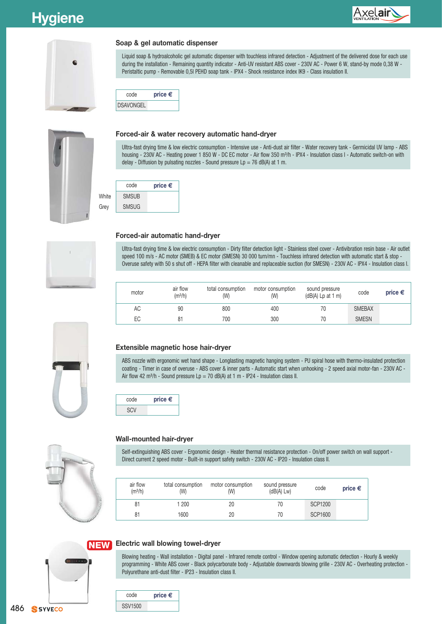## **Hygiene**





#### **Soap & gel automatic dispenser**

Liquid soap & hydroalcoholic gel automatic dispenser with touchless infrared detection - Adjustment of the delivered dose for each use during the installation - Remaining quantity indicator - Anti-UV resistant ABS cover - 230V AC - Power 6 W, stand-by mode 0,38 W - Peristaltic pump - Removable 0,5l PEHD soap tank - IPX4 - Shock resistance index IK9 - Class insulation II.





#### **Forced-air & water recovery automatic hand-dryer**

Ultra-fast drying time & low electric consumption - Intensive use - Anti-dust air filter - Water recovery tank - Germicidal UV lamp - ABS housing - 230V AC - Heating power 1 850 W - DC EC motor - Air flow 350 m<sup>3</sup>/h - IPX4 - Insulation class I - Automatic switch-on with delay - Diffusion by pulsating nozzles - Sound pressure  $\text{Lp} = 76$  dB(A) at 1 m.





#### **Forced-air automatic hand-dryer**

Ultra-fast drying time & low electric consumption - Dirty filter detection light - Stainless steel cover - Antivibration resin base - Air outlet speed 100 m/s - AC motor (SMEB) & EC motor (SMESN) 30 000 turn/mn - Touchless infrared detection with automatic start & stop -Overuse safety with 50 s shut off - HEPA filter with cleanable and replaceable suction (for SMESN) - 230V AC - IPX4 - Insulation class I.

| motor | air flow<br>(m <sup>3</sup> /h) | total consumption<br>(W) | motor consumption<br>(W) | sound pressure<br>$(dB(A)$ Lp at 1 m) | code          | price $\epsilon$ |
|-------|---------------------------------|--------------------------|--------------------------|---------------------------------------|---------------|------------------|
| АC    | 90                              | 800                      | 400                      | 70                                    | <b>SMEBAX</b> |                  |
| ЕC    | 81                              | 700                      | 300                      | 70                                    | <b>SMESN</b>  |                  |



ABS nozzle with ergonomic wet hand shape - Longlasting magnetic hanging system - PU spiral hose with thermo-insulated protection coating - Timer in case of overuse - ABS cover & inner parts - Automatic start when unhooking - 2 speed axial motor-fan - 230V AC - Air flow 42 m<sup>3</sup>/h - Sound pressure Lp = 70 dB(A) at 1 m - IP24 - Insulation class II.





#### **Wall-mounted hair-dryer**

Self-extinguishing ABS cover - Ergonomic design - Heater thermal resistance protection - On/off power switch on wall support -Direct current 2 speed motor - Built-in support safety switch - 230V AC - IP20 - Insulation class II.

| air flow<br>(m <sup>3</sup> /h) | total consumption<br>(W) | motor consumption<br>(W) | sound pressure<br>(dB(A) Lw) | code           | price $\epsilon$ |
|---------------------------------|--------------------------|--------------------------|------------------------------|----------------|------------------|
| 81                              | 1 200                    | 20                       | 70                           | <b>SCP1200</b> |                  |
| 81                              | 1600                     | 20                       | 70                           | <b>SCP1600</b> |                  |

#### **NEW NE Electric wall blowing towel-dryer**

Blowing heating - Wall installation - Digital panel - Infrared remote control - Window opening automatic detection - Hourly & weekly programming - White ABS cover - Black polycarbonate body - Adjustable downwards blowing grille - 230V AC - Overheating protection -Polyurethane anti-dust filter - IP23 - Insulation class II.

| price $\epsilon$ | code |
|------------------|------|
|                  |      |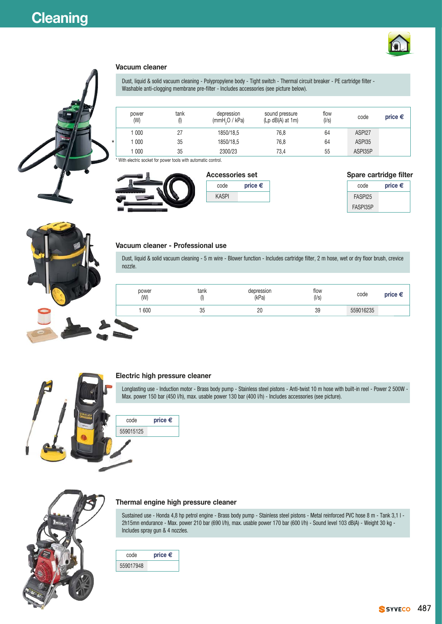



#### **Vacuum cleaner**

Dust, liquid & solid vacuum cleaning - Polypropylene body - Tight switch - Thermal circuit breaker - PE cartridge filter - Washable anti-clogging membrane pre-filter - Includes accessories (see picture below).

|         | power<br>(W)     | tank | depression<br>(mmH <sub>2</sub> O / kPa) | sound pressure<br>$(Lp dB(A)$ at 1m) | flow<br>(1/s) | code    | price $\epsilon$ |
|---------|------------------|------|------------------------------------------|--------------------------------------|---------------|---------|------------------|
|         | 000              |      | 1850/18.5                                | 76,8                                 | 64            | ASPI27  |                  |
| $\star$ | $\overline{000}$ | 35   | 1850/18.5                                | 76,8                                 | 64            | ASPI35  |                  |
|         | 000              | 35   | 2300/23                                  | 73.4                                 | 55            | ASPI35P |                  |

**price €** 

With electric socket for power tools with automatic control.



| <b>Accessories set</b> |       |
|------------------------|-------|
| code                   | price |
| <b>KASPI</b>           |       |
|                        |       |

|  | Spare cartridge filter |  |
|--|------------------------|--|
|--|------------------------|--|

| code     | price $\epsilon$ |
|----------|------------------|
| FASPI25  |                  |
| FASPI35P |                  |

#### **Vacuum cleaner - Professional use**

Dust, liquid & solid vacuum cleaning - 5 m wire - Blower function - Includes cartridge filter, 2 m hose, wet or dry floor brush, crevice nozzle.

| power<br>(W) | tank<br>(I) | depression<br>(kPa) | flow<br>(1/s) | code      | price $\epsilon$ |
|--------------|-------------|---------------------|---------------|-----------|------------------|
| .600         | δĽ<br>υu    | 20                  | 39            | 559016235 |                  |



#### **Electric high pressure cleaner**

Longlasting use - Induction motor - Brass body pump - Stainless steel pistons - Anti-twist 10 m hose with built-in reel - Power 2 500W - Max. power 150 bar (450 l/h), max. usable power 130 bar (400 l/h) - Includes accessories (see picture).





#### **Thermal engine high pressure cleaner**

Sustained use - Honda 4,8 hp petrol engine - Brass body pump - Stainless steel pistons - Metal reinforced PVC hose 8 m - Tank 3,1 l - 2h15mn endurance - Max. power 210 bar (690 l/h), max. usable power 170 bar (600 l/h) - Sound level 103 dB(A) - Weight 30 kg - Includes spray gun & 4 nozzles.

| code      | price $\epsilon$ |
|-----------|------------------|
| 559017948 |                  |